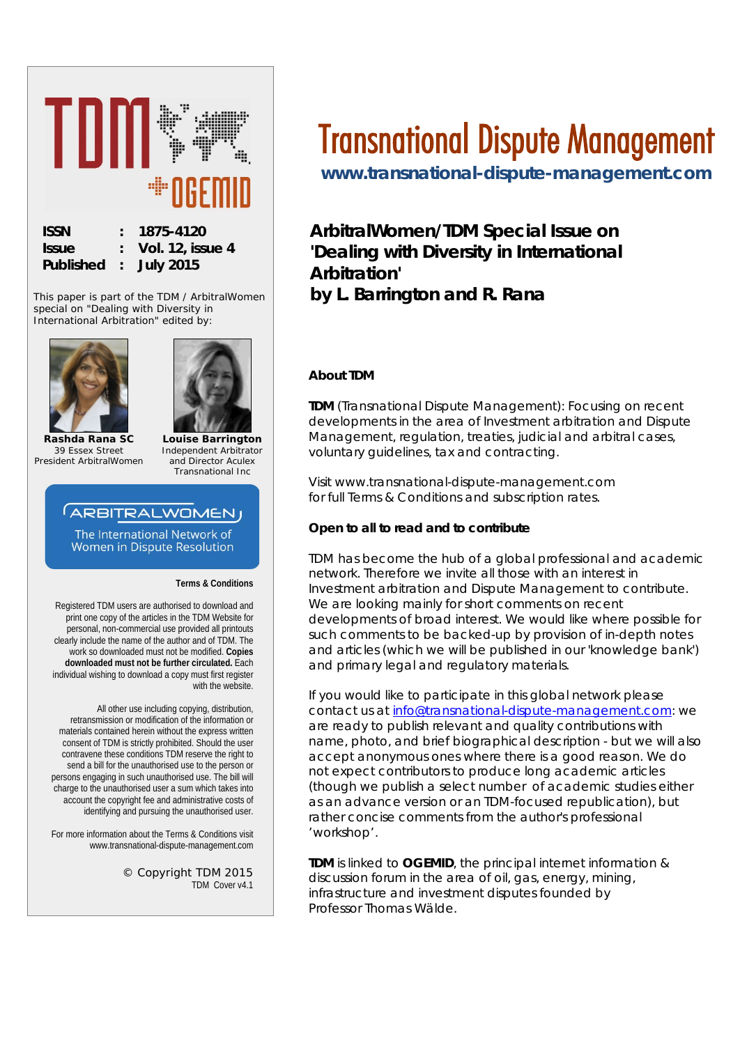

This paper is part of the TDM / ArbitralWomen special on "*Dealing with Diversity in International Arbitration*" edited by:





**Rashda Rana SC** *39 Essex Street President ArbitralWomen*

**Louise Barrington** *Independent Arbitrator and Director Aculex Transnational Inc*

### **ARBITRALWOMENJ**

The International Network of Women in Dispute Resolution

**Terms & Conditions**

Registered TDM users are authorised to download and print one copy of the articles in the TDM Website for personal, non-commercial use provided all printouts clearly include the name of the author and of TDM. The work so downloaded must not be modified. **Copies downloaded must not be further circulated.** Each individual wishing to download a copy must first register with the website.

All other use including copying, distribution, retransmission or modification of the information or materials contained herein without the express written consent of TDM is strictly prohibited. Should the user contravene these conditions TDM reserve the right to send a bill for the unauthorised use to the person or persons engaging in such unauthorised use. The bill will charge to the unauthorised user a sum which takes into account the copyright fee and administrative costs of identifying and pursuing the unauthorised user.

For more information about the Terms & Conditions visit www.transnational-dispute-management.com

> © Copyright TDM 2015 TDM Cover v4.1

# Transnational Dispute Management

**[www.transnational-dispute-management.com](http://www.transnational-dispute-management.com/)** 

**ArbitralWomen/TDM Special Issue on 'Dealing with Diversity in International Arbitration' by L. Barrington and R. Rana**

#### **About TDM**

**TDM** (Transnational Dispute Management): Focusing on recent developments in the area of Investment arbitration and Dispute Management, regulation, treaties, judicial and arbitral cases, voluntary guidelines, tax and contracting.

Visit www.transnational-dispute-management.com for full Terms & Conditions and subscription rates.

#### **Open to all to read and to contribute**

TDM has become the hub of a global professional and academic network. Therefore we invite all those with an interest in Investment arbitration and Dispute Management to contribute. We are looking mainly for short comments on recent developments of broad interest. We would like where possible for such comments to be backed-up by provision of in-depth notes and articles (which we will be published in our 'knowledge bank') and primary legal and regulatory materials.

If you would like to participate in this global network please contact us at [info@transnational-dispute-management.com:](mailto:info@transnational-dispute-management.com) we are ready to publish relevant and quality contributions with name, photo, and brief biographical description - but we will also accept anonymous ones where there is a good reason. We do not expect contributors to produce long academic articles (though we publish a select number of academic studies either as an advance version or an TDM-focused republication), but rather concise comments from the author's professional 'workshop'.

**TDM** is linked to **OGEMID**, the principal internet information & discussion forum in the area of oil, gas, energy, mining, infrastructure and investment disputes founded by Professor Thomas Wälde.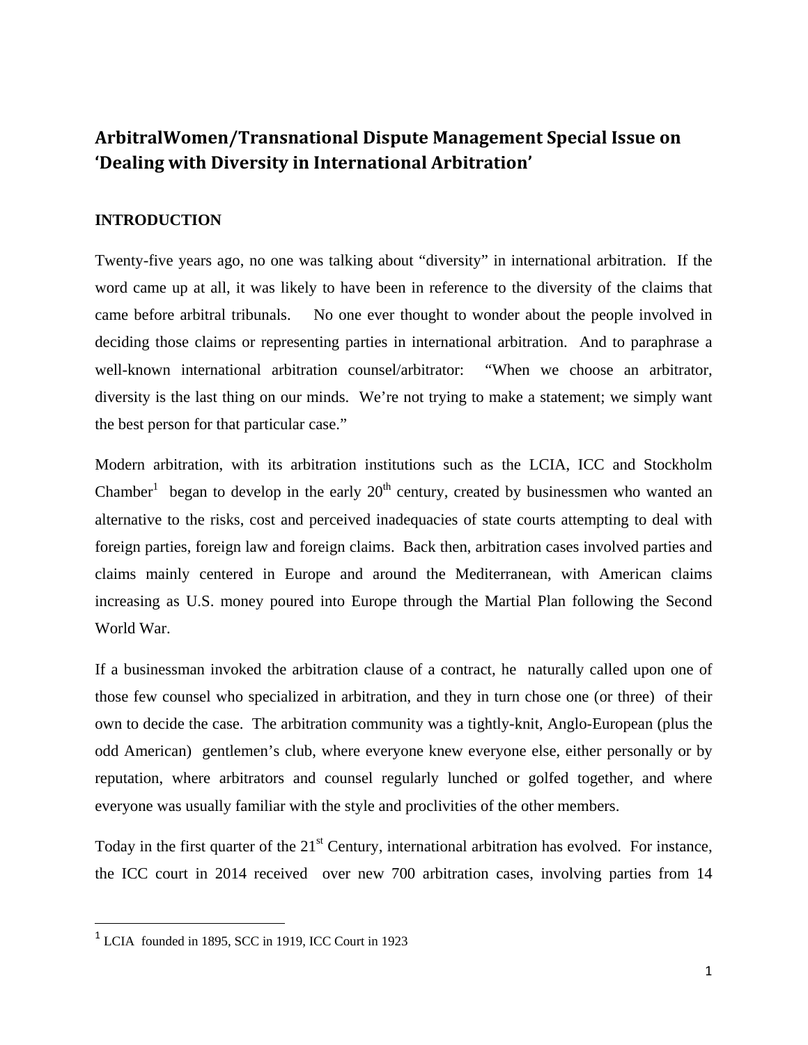## **ArbitralWomen/Transnational Dispute Management Special Issue on 'Dealing with Diversity in International Arbitration'**

#### **INTRODUCTION**

Twenty-five years ago, no one was talking about "diversity" in international arbitration. If the word came up at all, it was likely to have been in reference to the diversity of the claims that came before arbitral tribunals. No one ever thought to wonder about the people involved in deciding those claims or representing parties in international arbitration. And to paraphrase a well-known international arbitration counsel/arbitrator: "When we choose an arbitrator, diversity is the last thing on our minds. We're not trying to make a statement; we simply want the best person for that particular case."

Modern arbitration, with its arbitration institutions such as the LCIA, ICC and Stockholm Chamber<sup>1</sup> began to develop in the early  $20<sup>th</sup>$  century, created by businessmen who wanted an alternative to the risks, cost and perceived inadequacies of state courts attempting to deal with foreign parties, foreign law and foreign claims. Back then, arbitration cases involved parties and claims mainly centered in Europe and around the Mediterranean, with American claims increasing as U.S. money poured into Europe through the Martial Plan following the Second World War.

If a businessman invoked the arbitration clause of a contract, he naturally called upon one of those few counsel who specialized in arbitration, and they in turn chose one (or three) of their own to decide the case. The arbitration community was a tightly-knit, Anglo-European (plus the odd American) gentlemen's club, where everyone knew everyone else, either personally or by reputation, where arbitrators and counsel regularly lunched or golfed together, and where everyone was usually familiar with the style and proclivities of the other members.

Today in the first quarter of the 21<sup>st</sup> Century, international arbitration has evolved. For instance, the ICC court in 2014 received over new 700 arbitration cases, involving parties from 14

<sup>1</sup> LCIA founded in 1895, SCC in 1919, ICC Court in 1923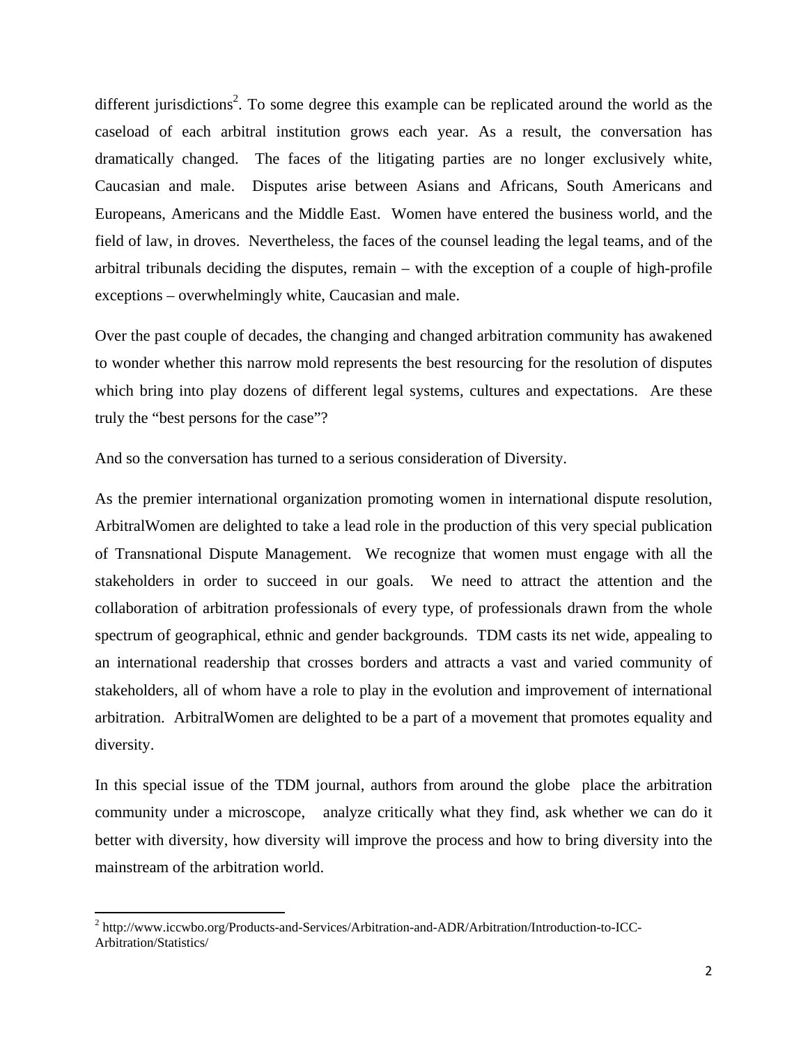different jurisdictions<sup>2</sup>. To some degree this example can be replicated around the world as the caseload of each arbitral institution grows each year. As a result, the conversation has dramatically changed. The faces of the litigating parties are no longer exclusively white, Caucasian and male. Disputes arise between Asians and Africans, South Americans and Europeans, Americans and the Middle East. Women have entered the business world, and the field of law, in droves. Nevertheless, the faces of the counsel leading the legal teams, and of the arbitral tribunals deciding the disputes, remain – with the exception of a couple of high-profile exceptions – overwhelmingly white, Caucasian and male.

Over the past couple of decades, the changing and changed arbitration community has awakened to wonder whether this narrow mold represents the best resourcing for the resolution of disputes which bring into play dozens of different legal systems, cultures and expectations. Are these truly the "best persons for the case"?

And so the conversation has turned to a serious consideration of Diversity.

As the premier international organization promoting women in international dispute resolution, ArbitralWomen are delighted to take a lead role in the production of this very special publication of Transnational Dispute Management. We recognize that women must engage with all the stakeholders in order to succeed in our goals. We need to attract the attention and the collaboration of arbitration professionals of every type, of professionals drawn from the whole spectrum of geographical, ethnic and gender backgrounds. TDM casts its net wide, appealing to an international readership that crosses borders and attracts a vast and varied community of stakeholders, all of whom have a role to play in the evolution and improvement of international arbitration. ArbitralWomen are delighted to be a part of a movement that promotes equality and diversity.

In this special issue of the TDM journal, authors from around the globe place the arbitration community under a microscope, analyze critically what they find, ask whether we can do it better with diversity, how diversity will improve the process and how to bring diversity into the mainstream of the arbitration world.

 $2 \text{ http://www.iccwbo.org/Products-and-Services/Arbitration-and-ADR/Arbitration/Introduction-to-ICC-$ Arbitration/Statistics/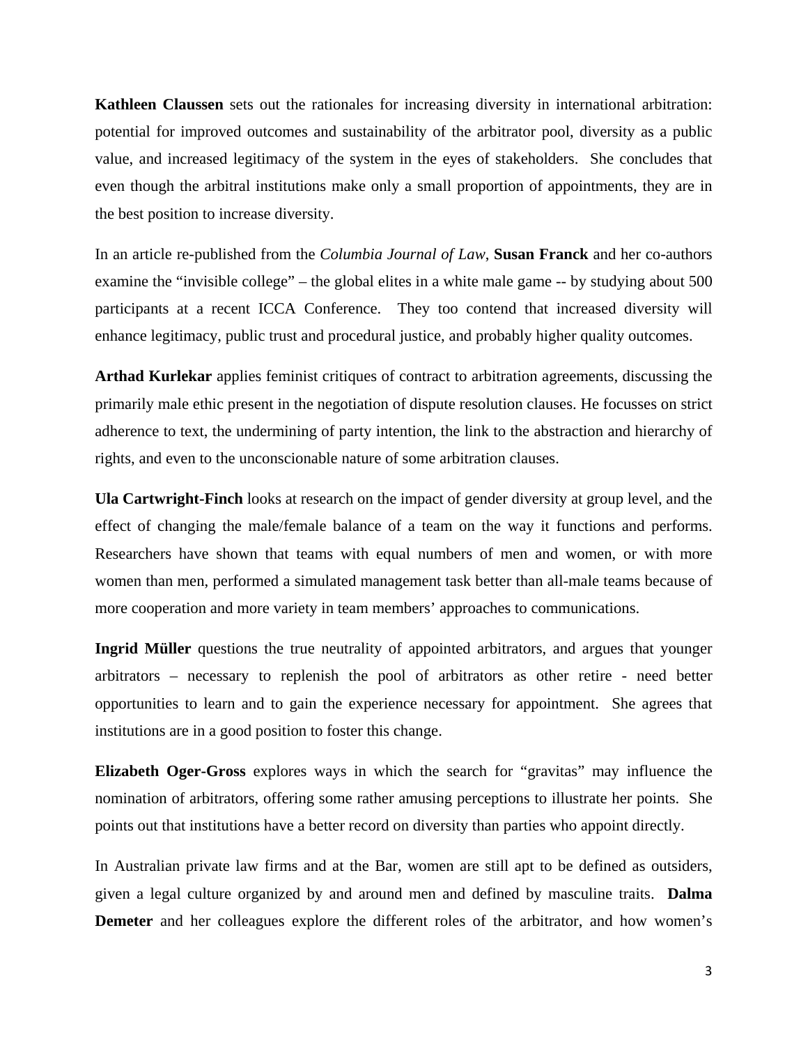**Kathleen Claussen** sets out the rationales for increasing diversity in international arbitration: potential for improved outcomes and sustainability of the arbitrator pool, diversity as a public value, and increased legitimacy of the system in the eyes of stakeholders. She concludes that even though the arbitral institutions make only a small proportion of appointments, they are in the best position to increase diversity.

In an article re-published from the *Columbia Journal of Law*, **Susan Franck** and her co-authors examine the "invisible college" – the global elites in a white male game -- by studying about 500 participants at a recent ICCA Conference. They too contend that increased diversity will enhance legitimacy, public trust and procedural justice, and probably higher quality outcomes.

**Arthad Kurlekar** applies feminist critiques of contract to arbitration agreements, discussing the primarily male ethic present in the negotiation of dispute resolution clauses. He focusses on strict adherence to text, the undermining of party intention, the link to the abstraction and hierarchy of rights, and even to the unconscionable nature of some arbitration clauses.

**Ula Cartwright-Finch** looks at research on the impact of gender diversity at group level, and the effect of changing the male/female balance of a team on the way it functions and performs. Researchers have shown that teams with equal numbers of men and women, or with more women than men, performed a simulated management task better than all-male teams because of more cooperation and more variety in team members' approaches to communications.

**Ingrid Müller** questions the true neutrality of appointed arbitrators, and argues that younger arbitrators – necessary to replenish the pool of arbitrators as other retire - need better opportunities to learn and to gain the experience necessary for appointment. She agrees that institutions are in a good position to foster this change.

**Elizabeth Oger-Gross** explores ways in which the search for "gravitas" may influence the nomination of arbitrators, offering some rather amusing perceptions to illustrate her points. She points out that institutions have a better record on diversity than parties who appoint directly.

In Australian private law firms and at the Bar, women are still apt to be defined as outsiders, given a legal culture organized by and around men and defined by masculine traits. **Dalma Demeter** and her colleagues explore the different roles of the arbitrator, and how women's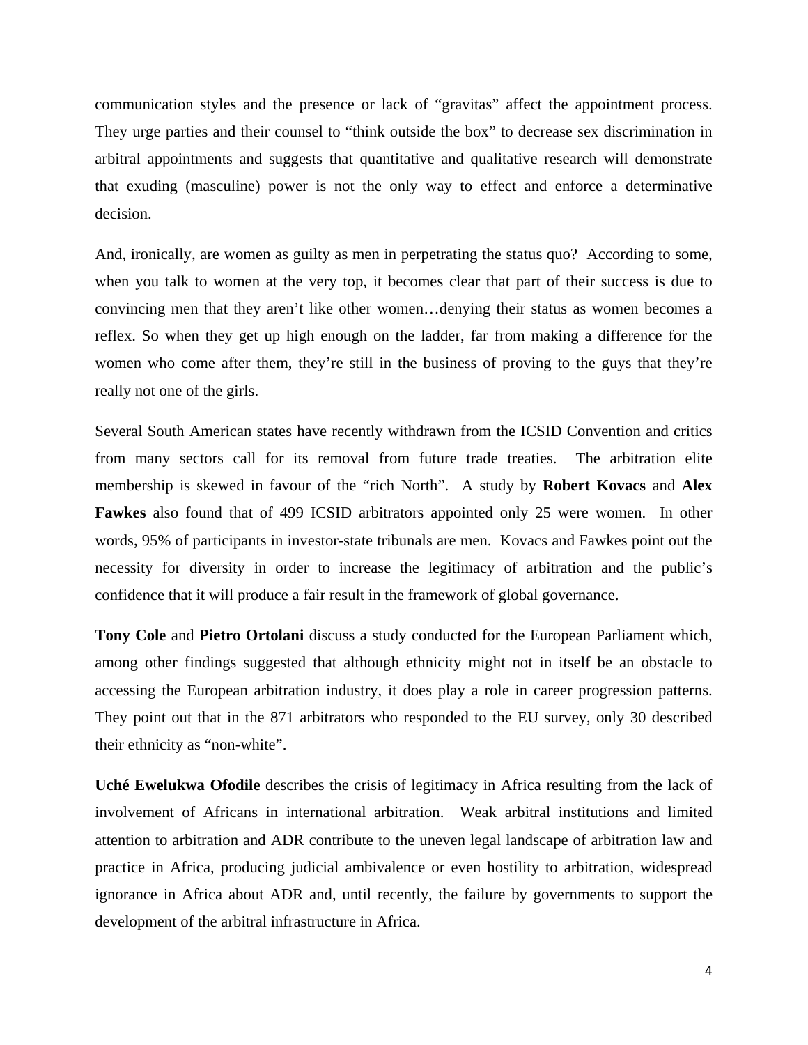communication styles and the presence or lack of "gravitas" affect the appointment process. They urge parties and their counsel to "think outside the box" to decrease sex discrimination in arbitral appointments and suggests that quantitative and qualitative research will demonstrate that exuding (masculine) power is not the only way to effect and enforce a determinative decision.

And, ironically, are women as guilty as men in perpetrating the status quo? According to some, when you talk to women at the very top, it becomes clear that part of their success is due to convincing men that they aren't like other women…denying their status as women becomes a reflex. So when they get up high enough on the ladder, far from making a difference for the women who come after them, they're still in the business of proving to the guys that they're really not one of the girls.

Several South American states have recently withdrawn from the ICSID Convention and critics from many sectors call for its removal from future trade treaties. The arbitration elite membership is skewed in favour of the "rich North". A study by **Robert Kovacs** and **Alex Fawkes** also found that of 499 ICSID arbitrators appointed only 25 were women. In other words, 95% of participants in investor-state tribunals are men. Kovacs and Fawkes point out the necessity for diversity in order to increase the legitimacy of arbitration and the public's confidence that it will produce a fair result in the framework of global governance.

**Tony Cole** and **Pietro Ortolani** discuss a study conducted for the European Parliament which, among other findings suggested that although ethnicity might not in itself be an obstacle to accessing the European arbitration industry, it does play a role in career progression patterns. They point out that in the 871 arbitrators who responded to the EU survey, only 30 described their ethnicity as "non-white".

**Uché Ewelukwa Ofodile** describes the crisis of legitimacy in Africa resulting from the lack of involvement of Africans in international arbitration. Weak arbitral institutions and limited attention to arbitration and ADR contribute to the uneven legal landscape of arbitration law and practice in Africa, producing judicial ambivalence or even hostility to arbitration, widespread ignorance in Africa about ADR and, until recently, the failure by governments to support the development of the arbitral infrastructure in Africa.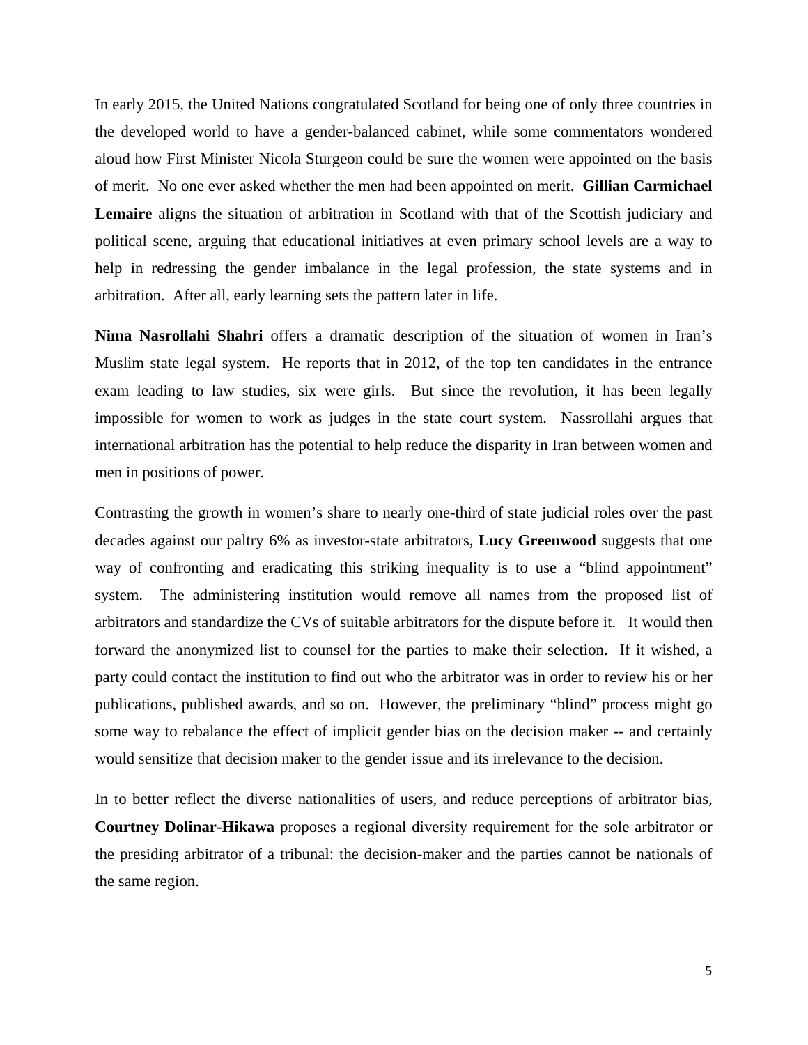In early 2015, the United Nations congratulated Scotland for being one of only three countries in the developed world to have a gender-balanced cabinet, while some commentators wondered aloud how First Minister Nicola Sturgeon could be sure the women were appointed on the basis of merit. No one ever asked whether the men had been appointed on merit. **Gillian Carmichael Lemaire** aligns the situation of arbitration in Scotland with that of the Scottish judiciary and political scene, arguing that educational initiatives at even primary school levels are a way to help in redressing the gender imbalance in the legal profession, the state systems and in arbitration. After all, early learning sets the pattern later in life.

**Nima Nasrollahi Shahri** offers a dramatic description of the situation of women in Iran's Muslim state legal system. He reports that in 2012, of the top ten candidates in the entrance exam leading to law studies, six were girls. But since the revolution, it has been legally impossible for women to work as judges in the state court system. Nassrollahi argues that international arbitration has the potential to help reduce the disparity in Iran between women and men in positions of power.

Contrasting the growth in women's share to nearly one-third of state judicial roles over the past decades against our paltry 6% as investor-state arbitrators, **Lucy Greenwood** suggests that one way of confronting and eradicating this striking inequality is to use a "blind appointment" system. The administering institution would remove all names from the proposed list of arbitrators and standardize the CVs of suitable arbitrators for the dispute before it. It would then forward the anonymized list to counsel for the parties to make their selection. If it wished, a party could contact the institution to find out who the arbitrator was in order to review his or her publications, published awards, and so on. However, the preliminary "blind" process might go some way to rebalance the effect of implicit gender bias on the decision maker -- and certainly would sensitize that decision maker to the gender issue and its irrelevance to the decision.

In to better reflect the diverse nationalities of users, and reduce perceptions of arbitrator bias, **Courtney Dolinar-Hikawa** proposes a regional diversity requirement for the sole arbitrator or the presiding arbitrator of a tribunal: the decision-maker and the parties cannot be nationals of the same region.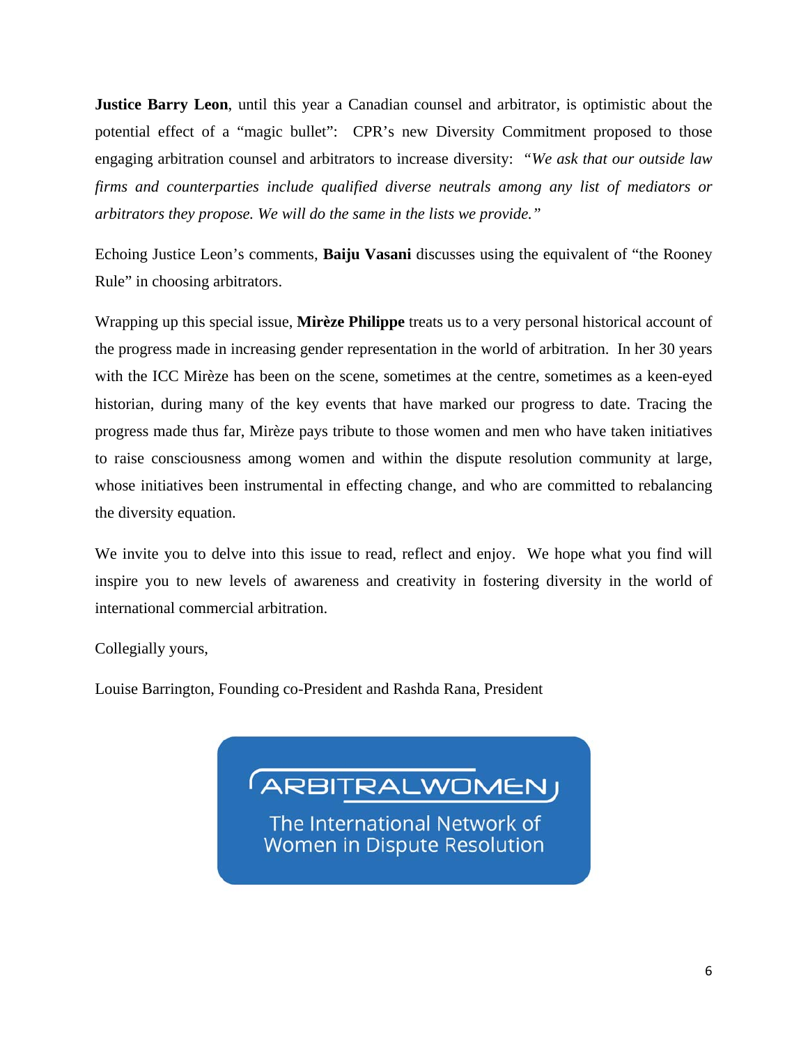**Justice Barry Leon**, until this year a Canadian counsel and arbitrator, is optimistic about the potential effect of a "magic bullet": CPR's new Diversity Commitment proposed to those engaging arbitration counsel and arbitrators to increase diversity: *"We ask that our outside law firms and counterparties include qualified diverse neutrals among any list of mediators or arbitrators they propose. We will do the same in the lists we provide."*

Echoing Justice Leon's comments, **Baiju Vasani** discusses using the equivalent of "the Rooney Rule" in choosing arbitrators.

Wrapping up this special issue, **Mirèze Philippe** treats us to a very personal historical account of the progress made in increasing gender representation in the world of arbitration. In her 30 years with the ICC Mirèze has been on the scene, sometimes at the centre, sometimes as a keen-eyed historian, during many of the key events that have marked our progress to date. Tracing the progress made thus far, Mirèze pays tribute to those women and men who have taken initiatives to raise consciousness among women and within the dispute resolution community at large, whose initiatives been instrumental in effecting change, and who are committed to rebalancing the diversity equation.

We invite you to delve into this issue to read, reflect and enjoy. We hope what you find will inspire you to new levels of awareness and creativity in fostering diversity in the world of international commercial arbitration.

Collegially yours,

Louise Barrington, Founding co-President and Rashda Rana, President

# **ARBITRALWOMEN**

The International Network of Women in Dispute Resolution